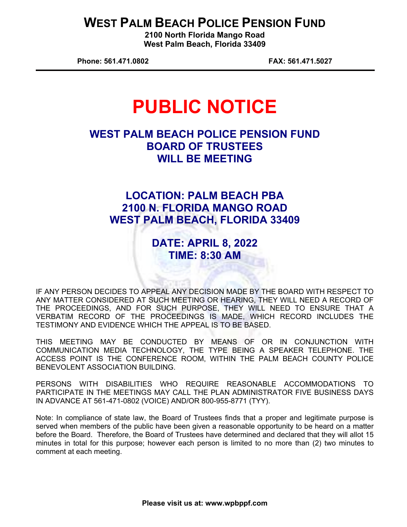## **WEST PALM BEACH POLICE PENSION FUND**

**2100 North Florida Mango Road West Palm Beach, Florida 33409** 

**Phone: 561.471.0802 FAX: 561.471.5027** 

# **PUBLIC NOTICE**

## **WEST PALM BEACH POLICE PENSION FUND BOARD OF TRUSTEES WILL BE MEETING**

## **LOCATION: PALM BEACH PBA 2100 N. FLORIDA MANGO ROAD WEST PALM BEACH, FLORIDA 33409**

## **DATE: APRIL 8, 2022 TIME: 8:30 AM**

IF ANY PERSON DECIDES TO APPEAL ANY DECISION MADE BY THE BOARD WITH RESPECT TO ANY MATTER CONSIDERED AT SUCH MEETING OR HEARING, THEY WILL NEED A RECORD OF THE PROCEEDINGS, AND FOR SUCH PURPOSE, THEY WILL NEED TO ENSURE THAT A VERBATIM RECORD OF THE PROCEEDINGS IS MADE, WHICH RECORD INCLUDES THE TESTIMONY AND EVIDENCE WHICH THE APPEAL IS TO BE BASED.

THIS MEETING MAY BE CONDUCTED BY MEANS OF OR IN CONJUNCTION WITH COMMUNICATION MEDIA TECHNOLOGY, THE TYPE BEING A SPEAKER TELEPHONE. THE ACCESS POINT IS THE CONFERENCE ROOM, WITHIN THE PALM BEACH COUNTY POLICE BENEVOLENT ASSOCIATION BUILDING.

PERSONS WITH DISABILITIES WHO REQUIRE REASONABLE ACCOMMODATIONS TO PARTICIPATE IN THE MEETINGS MAY CALL THE PLAN ADMINISTRATOR FIVE BUSINESS DAYS IN ADVANCE AT 561-471-0802 (VOICE) AND/OR 800-955-8771 (TYY).

Note: In compliance of state law, the Board of Trustees finds that a proper and legitimate purpose is served when members of the public have been given a reasonable opportunity to be heard on a matter before the Board. Therefore, the Board of Trustees have determined and declared that they will allot 15 minutes in total for this purpose; however each person is limited to no more than (2) two minutes to comment at each meeting.